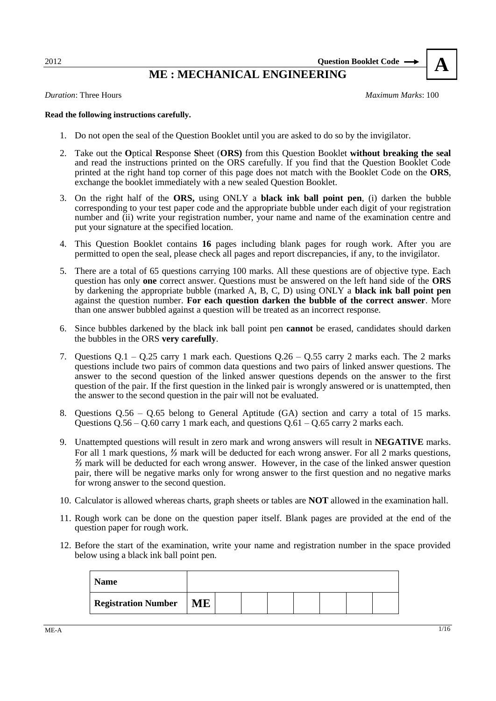2012 **Question Booklet Code** 

## **ME : MECHANICAL ENGINEERING A**

*Duration*: Three Hours *Maximum Marks*: 100

#### **Read the following instructions carefully.**

- 1. Do not open the seal of the Question Booklet until you are asked to do so by the invigilator.
- 2. Take out the **O**ptical **R**esponse **S**heet (**ORS)** from this Question Booklet **without breaking the seal**  and read the instructions printed on the ORS carefully. If you find that the Question Booklet Code printed at the right hand top corner of this page does not match with the Booklet Code on the **ORS**, exchange the booklet immediately with a new sealed Question Booklet.
- 3. On the right half of the **ORS,** using ONLY a **black ink ball point pen**, (i) darken the bubble corresponding to your test paper code and the appropriate bubble under each digit of your registration number and (ii) write your registration number, your name and name of the examination centre and put your signature at the specified location.
- 4. This Question Booklet contains **16** pages including blank pages for rough work. After you are permitted to open the seal, please check all pages and report discrepancies, if any, to the invigilator.
- 5. There are a total of 65 questions carrying 100 marks. All these questions are of objective type. Each question has only **one** correct answer. Questions must be answered on the left hand side of the **ORS** by darkening the appropriate bubble (marked A, B, C, D) using ONLY a **black ink ball point pen** against the question number. **For each question darken the bubble of the correct answer**. More than one answer bubbled against a question will be treated as an incorrect response.
- 6. Since bubbles darkened by the black ink ball point pen **cannot** be erased, candidates should darken the bubbles in the ORS **very carefully**.
- 7. Questions Q.1 Q.25 carry 1 mark each. Questions Q.26 Q.55 carry 2 marks each. The 2 marks questions include two pairs of common data questions and two pairs of linked answer questions. The answer to the second question of the linked answer questions depends on the answer to the first question of the pair. If the first question in the linked pair is wrongly answered or is unattempted, then the answer to the second question in the pair will not be evaluated.
- 8. Questions Q.56 Q.65 belong to General Aptitude (GA) section and carry a total of 15 marks. Questions  $Q.56 - Q.60$  carry 1 mark each, and questions  $Q.61 - Q.65$  carry 2 marks each.
- 9. Unattempted questions will result in zero mark and wrong answers will result in **NEGATIVE** marks. For all 1 mark questions, *⅓* mark will be deducted for each wrong answer. For all 2 marks questions, *⅔* mark will be deducted for each wrong answer. However, in the case of the linked answer question pair, there will be negative marks only for wrong answer to the first question and no negative marks for wrong answer to the second question.
- 10. Calculator is allowed whereas charts, graph sheets or tables are **NOT** allowed in the examination hall.
- 11. Rough work can be done on the question paper itself. Blank pages are provided at the end of the question paper for rough work.
- 12. Before the start of the examination, write your name and registration number in the space provided below using a black ink ball point pen.

| <b>Name</b>                |    |  |  |  |  |
|----------------------------|----|--|--|--|--|
| <b>Registration Number</b> | ME |  |  |  |  |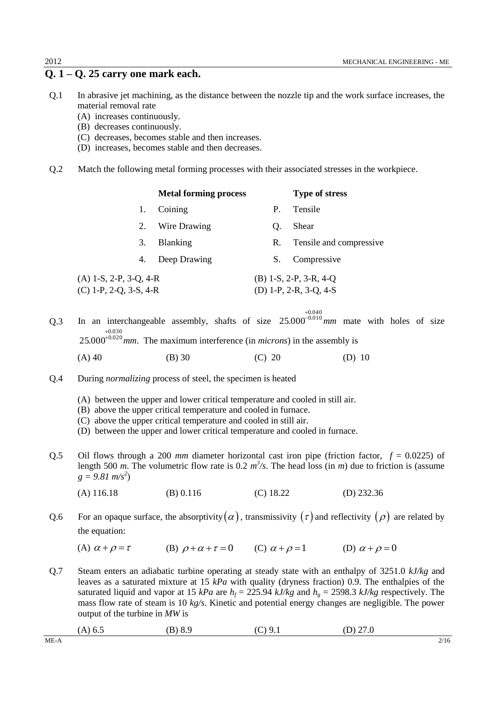## **Q. 1 – Q. 25 carry one mark each.**

- Q.1 In abrasive jet machining, as the distance between the nozzle tip and the work surface increases, the material removal rate
	- (A) increases continuously.
	- (B) decreases continuously.
	- (C) decreases, becomes stable and then increases.
	- (D) increases, becomes stable and then decreases.
- Q.2 Match the following metal forming processes with their associated stresses in the workpiece.

|                          | <b>Metal forming process</b> |    | <b>Type of stress</b>    |
|--------------------------|------------------------------|----|--------------------------|
|                          | Coining                      | Р. | Tensile                  |
| 2.                       | Wire Drawing                 | O. | Shear                    |
| 3.                       | <b>Blanking</b>              | R. | Tensile and compressive  |
| 4.                       | Deep Drawing                 | S. | Compressive              |
| $(A)$ 1-S, 2-P, 3-Q, 4-R |                              |    | $(B)$ 1-S, 2-P, 3-R, 4-Q |
| $(C)$ 1-P, 2-Q, 3-S, 4-R |                              |    | (D) 1-P, 2-R, 3-Q, 4-S   |

Q.3 In an interchangeable assembly, shafts of size  $25.000^{-0.010}$  mm mate with holes of size 0.040  $^{+0.030}_{-25.000}$ *mm*. The maximum interference (in *microns*) in the assembly is

- (A) 40 (B) 30 (C) 20 (D) 10
- Q.4 During *normalizing* process of steel, the specimen is heated
	- (A) between the upper and lower critical temperature and cooled in still air.
	- (B) above the upper critical temperature and cooled in furnace.
	- (C) above the upper critical temperature and cooled in still air.
	- (D) between the upper and lower critical temperature and cooled in furnace.
- Q.5 Oil flows through a 200 *mm* diameter horizontal cast iron pipe (friction factor, *f* = 0.0225) of length 500 *m*. The volumetric flow rate is 0.2  $m^3$ /s. The head loss (in *m*) due to friction is (assume  $g = 9.81 \text{ m/s}^2$ 
	- (A) 116.18 (B) 0.116 (C) 18.22 (D) 232.36
- Q.6 For an opaque surface, the absorptivity  $(\alpha)$ , transmissivity  $(\tau)$  and reflectivity  $(\rho)$  are related by the equation:
	- (A)  $\alpha + \rho = \tau$ (B)  $\rho + \alpha + \tau = 0$  (C)  $\alpha + \rho = 1$ (D)  $\alpha + \rho = 0$
- Q.7 Steam enters an adiabatic turbine operating at steady state with an enthalpy of 3251.0 *kJ/kg* and leaves as a saturated mixture at 15 *kPa* with quality (dryness fraction) 0.9. The enthalpies of the saturated liquid and vapor at 15 *kPa* are  $h_f = 225.94$  *kJ/kg* and  $h_g = 2598.3$  *kJ/kg* respectively. The mass flow rate of steam is 10 *kg/s*. Kinetic and potential energy changes are negligible. The power output of the turbine in *MW* is

| $(A)$ 6.5 | (B) 8.9 | (C) 9.1 | (D) $27.0$ |
|-----------|---------|---------|------------|
|           |         |         |            |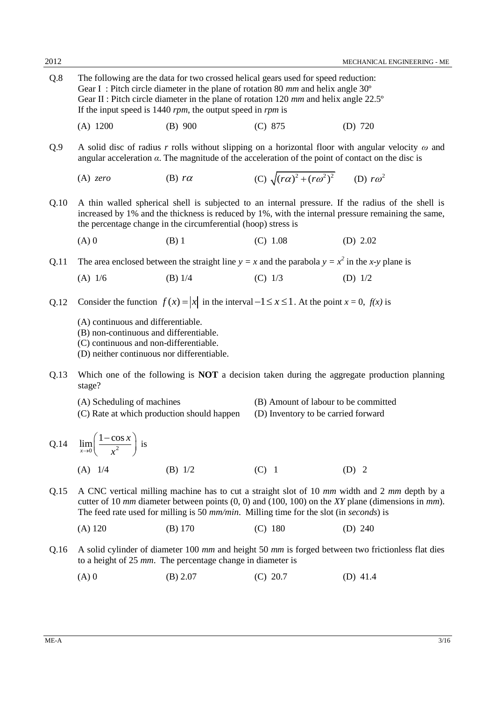| Q.8  | The following are the data for two crossed helical gears used for speed reduction:<br>Gear I: Pitch circle diameter in the plane of rotation 80 mm and helix angle $30^{\circ}$<br>Gear II : Pitch circle diameter in the plane of rotation 120 mm and helix angle 22.5°<br>If the input speed is 1440 $rpm$ , the output speed in $rpm$ is |                                                                                                          |                                                                             |                                                                                                                                                                                                         |  |
|------|---------------------------------------------------------------------------------------------------------------------------------------------------------------------------------------------------------------------------------------------------------------------------------------------------------------------------------------------|----------------------------------------------------------------------------------------------------------|-----------------------------------------------------------------------------|---------------------------------------------------------------------------------------------------------------------------------------------------------------------------------------------------------|--|
|      | $(A)$ 1200                                                                                                                                                                                                                                                                                                                                  | $(B)$ 900                                                                                                | (C) 875                                                                     | $(D)$ 720                                                                                                                                                                                               |  |
| Q.9  |                                                                                                                                                                                                                                                                                                                                             | angular acceleration $\alpha$ . The magnitude of the acceleration of the point of contact on the disc is |                                                                             | A solid disc of radius r rolls without slipping on a horizontal floor with angular velocity $\omega$ and                                                                                                |  |
|      | $(A)$ zero                                                                                                                                                                                                                                                                                                                                  | (B) $r\alpha$                                                                                            | (C) $\sqrt{(r\alpha)^2 + (r\omega^2)^2}$ (D) $r\omega^2$                    |                                                                                                                                                                                                         |  |
| Q.10 |                                                                                                                                                                                                                                                                                                                                             | the percentage change in the circumferential (hoop) stress is                                            |                                                                             | A thin walled spherical shell is subjected to an internal pressure. If the radius of the shell is<br>increased by 1% and the thickness is reduced by 1%, with the internal pressure remaining the same, |  |
|      | $(A)$ 0                                                                                                                                                                                                                                                                                                                                     | $(B)$ 1                                                                                                  | $(C)$ 1.08                                                                  | (D) $2.02$                                                                                                                                                                                              |  |
| Q.11 |                                                                                                                                                                                                                                                                                                                                             | The area enclosed between the straight line $y = x$ and the parabola $y = x^2$ in the x-y plane is       |                                                                             |                                                                                                                                                                                                         |  |
|      | $(A)$ 1/6                                                                                                                                                                                                                                                                                                                                   | $(B)$ 1/4                                                                                                | $(C)$ 1/3                                                                   | (D) $1/2$                                                                                                                                                                                               |  |
| Q.12 |                                                                                                                                                                                                                                                                                                                                             | Consider the function $f(x) =  x $ in the interval $-1 \le x \le 1$ . At the point $x = 0$ , $f(x)$ is   |                                                                             |                                                                                                                                                                                                         |  |
|      | (A) continuous and differentiable.<br>(B) non-continuous and differentiable.<br>(C) continuous and non-differentiable.<br>(D) neither continuous nor differentiable.                                                                                                                                                                        |                                                                                                          |                                                                             |                                                                                                                                                                                                         |  |
| Q.13 | stage?                                                                                                                                                                                                                                                                                                                                      |                                                                                                          |                                                                             | Which one of the following is <b>NOT</b> a decision taken during the aggregate production planning                                                                                                      |  |
|      | (A) Scheduling of machines<br>(C) Rate at which production should happen                                                                                                                                                                                                                                                                    |                                                                                                          | (B) Amount of labour to be committed<br>(D) Inventory to be carried forward |                                                                                                                                                                                                         |  |
| Q.14 | $\lim_{x\to 0} \left( \frac{1-\cos x}{x^2} \right)$ is                                                                                                                                                                                                                                                                                      |                                                                                                          |                                                                             |                                                                                                                                                                                                         |  |
|      | $(A)$ 1/4                                                                                                                                                                                                                                                                                                                                   | (B) $1/2$                                                                                                | $(C)$ 1                                                                     | $(D)$ 2                                                                                                                                                                                                 |  |
| Q.15 | A CNC vertical milling machine has to cut a straight slot of 10 mm width and 2 mm depth by a<br>cutter of 10 $mm$ diameter between points $(0, 0)$ and $(100, 100)$ on the XY plane (dimensions in $mm$ ).<br>The feed rate used for milling is 50 mm/min. Milling time for the slot (in seconds) is                                        |                                                                                                          |                                                                             |                                                                                                                                                                                                         |  |
|      | $(A)$ 120                                                                                                                                                                                                                                                                                                                                   | $(B)$ 170                                                                                                | $(C)$ 180                                                                   | (D) 240                                                                                                                                                                                                 |  |
| Q.16 |                                                                                                                                                                                                                                                                                                                                             | to a height of 25 mm. The percentage change in diameter is                                               |                                                                             | A solid cylinder of diameter 100 mm and height 50 mm is forged between two frictionless flat dies                                                                                                       |  |
|      | $(A)$ 0                                                                                                                                                                                                                                                                                                                                     | (B) 2.07                                                                                                 | $(C)$ 20.7                                                                  | (D) $41.4$                                                                                                                                                                                              |  |
|      |                                                                                                                                                                                                                                                                                                                                             |                                                                                                          |                                                                             |                                                                                                                                                                                                         |  |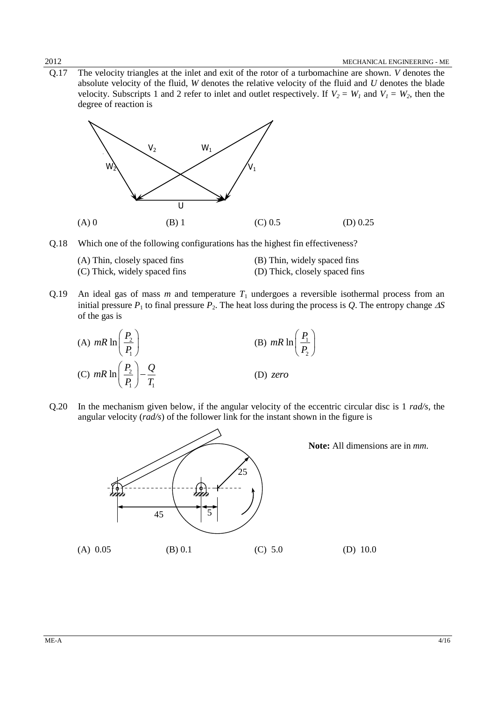Q.17 The velocity triangles at the inlet and exit of the rotor of a turbomachine are shown. *V* denotes the absolute velocity of the fluid, *W* denotes the relative velocity of the fluid and *U* denotes the blade velocity. Subscripts 1 and 2 refer to inlet and outlet respectively. If  $V_2 = W_1$  and  $V_1 = W_2$ , then the degree of reaction is



Q.18 Which one of the following configurations has the highest fin effectiveness?

| (A) Thin, closely spaced fins | (B) Thin, widely spaced fins   |
|-------------------------------|--------------------------------|
| (C) Thick, widely spaced fins | (D) Thick, closely spaced fins |

Q.19 An ideal gas of mass  $m$  and temperature  $T_1$  undergoes a reversible isothermal process from an initial pressure  $P_1$  to final pressure  $P_2$ . The heat loss during the process is *Q*. The entropy change  $\Delta S$ of the gas is



Q.20 In the mechanism given below, if the angular velocity of the eccentric circular disc is 1 *rad/s*, the angular velocity (*rad/s*) of the follower link for the instant shown in the figure is

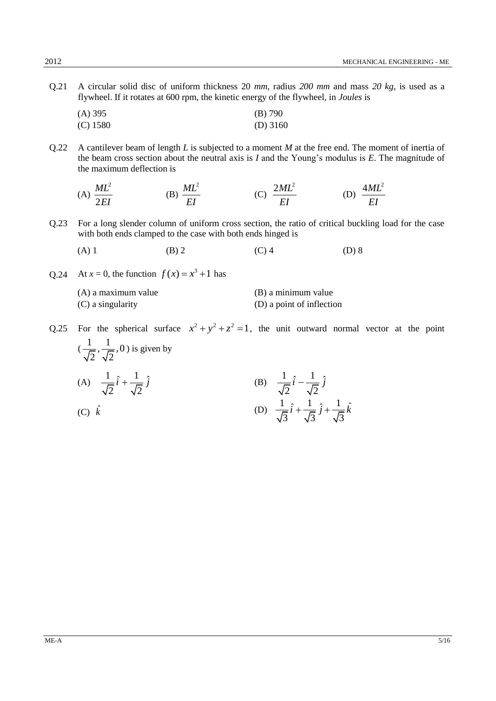- Q.21 A circular solid disc of uniform thickness 20 *mm*, radius *200 mm* and mass *20 kg*, is used as a flywheel. If it rotates at 600 rpm, the kinetic energy of the flywheel, in *Joules* is
	- (A) 395 (B) 790 (C) 1580 (D) 3160
- Q.22 A cantilever beam of length *L* is subjected to a moment *M* at the free end. The moment of inertia of the beam cross section about the neutral axis is *I* and the Young's modulus is *E*. The magnitude of the maximum deflection is

(A) 
$$
\frac{ML^2}{2EI}
$$
 (B)  $\frac{ML^2}{EI}$  (C)  $\frac{2ML^2}{EI}$  (D)  $\frac{4ML^2}{EI}$ 

- Q.23 For a long slender column of uniform cross section, the ratio of critical buckling load for the case with both ends clamped to the case with both ends hinged is
	- (A) 1 (B) 2 (C) 4 (D) 8
- Q.24 At *x* = 0, the function  $f(x) = x^3 + 1$  has

| (A) a maximum value | (B) a minimum value       |
|---------------------|---------------------------|
| (C) a singularity   | (D) a point of inflection |

Q.25 For the spherical surface  $x^2 + y^2 + z^2 = 1$ , the unit outward normal vector at the point  $(\frac{1}{\sqrt{2}}, \frac{1}{\sqrt{2}}, 0)$  $2\sqrt{2}$ ) is given by (A)  $\frac{1}{\sqrt{1}}\hat{i} + \frac{1}{\sqrt{2}}\hat{j}$ 2  $\sqrt{2}$  $\hat{i} + \frac{1}{\sqrt{r}} \hat{j}$ (B)  $\frac{1}{\sqrt{5}}\hat{i} - \frac{1}{\sqrt{5}}\hat{j}$ 2  $\sqrt{2}$  $\hat{i}$  –  $\frac{1}{\sqrt{2}}$   $\hat{j}$ (C) ˆ *k* (D)  $\frac{1}{\sqrt{t}}\hat{i} + \frac{1}{\sqrt{t}}\hat{j} + \frac{1}{\sqrt{t}}\hat{k}$  $\sqrt{3}^{17} \sqrt{3}^{17} \sqrt{3}$  $\hat{i} + \frac{1}{\sqrt{2}} \hat{j} + \frac{1}{\sqrt{2}} \hat{k}$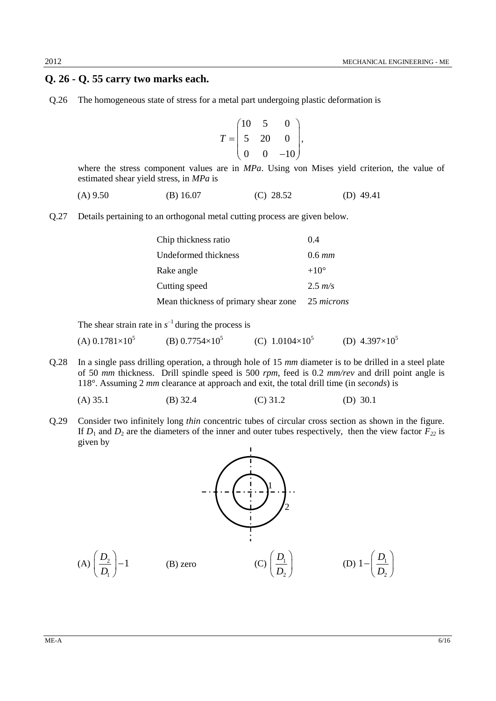### **Q. 26 - Q. 55 carry two marks each.**

Q.26 The homogeneous state of stress for a metal part undergoing plastic deformation is

$$
T = \begin{pmatrix} 10 & 5 & 0 \\ 5 & 20 & 0 \\ 0 & 0 & -10 \end{pmatrix},
$$

where the stress component values are in *MPa*. Using von Mises yield criterion, the value of estimated shear yield stress, in *MPa* is

$$
(A) 9.50 \t\t (B) 16.07 \t\t (C) 28.52 \t\t (D) 49.41
$$

Q.27 Details pertaining to an orthogonal metal cutting process are given below.

| Chip thickness ratio                 | 04            |
|--------------------------------------|---------------|
| Undeformed thickness                 | $0.6 \, mm$   |
| Rake angle                           | $+10^{\circ}$ |
| Cutting speed                        | $2.5 \; m/s$  |
| Mean thickness of primary shear zone | 25 microns    |

The shear strain rate in  $s^{-1}$  during the process is

 $(A)$  0.1781 $\times$ 10<sup>5</sup> (B)  $0.7754\times10^{5}$ (C)  $1.0104\times10^5$ (D)  $4.397\times10^{5}$ 

Q.28 In a single pass drilling operation, a through hole of 15 *mm* diameter is to be drilled in a steel plate of 50 *mm* thickness. Drill spindle speed is 500 *rpm*, feed is 0.2 *mm/rev* and drill point angle is 118°. Assuming 2 *mm* clearance at approach and exit, the total drill time (in *seconds*) is

(A) 35.1 (B) 32.4 (C) 31.2 (D) 30.1

Q.29 Consider two infinitely long *thin* concentric tubes of circular cross section as shown in the figure. If  $D_1$  and  $D_2$  are the diameters of the inner and outer tubes respectively, then the view factor  $F_{22}$  is given by

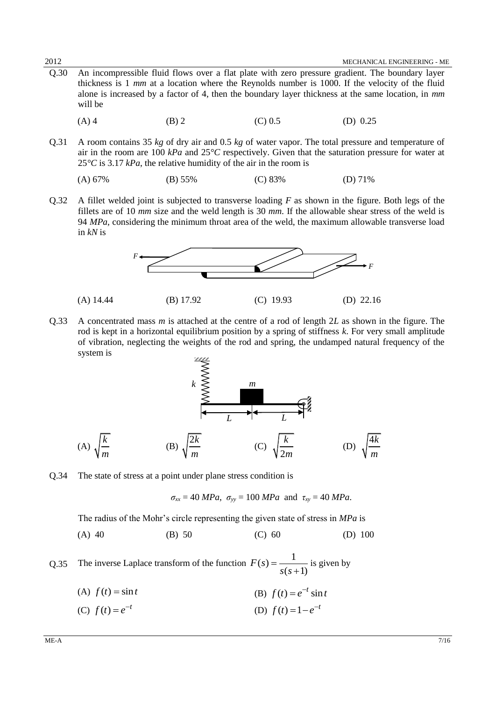- Q.30 An incompressible fluid flows over a flat plate with zero pressure gradient. The boundary layer thickness is 1 *mm* at a location where the Reynolds number is 1000. If the velocity of the fluid alone is increased by a factor of 4, then the boundary layer thickness at the same location, in *mm* will be
	- (A) 4 (B) 2 (C) 0.5 (D) 0.25
- Q.31 A room contains 35 *kg* of dry air and 0.5 *kg* of water vapor. The total pressure and temperature of air in the room are 100 *kPa* and 25*°C* respectively. Given that the saturation pressure for water at 25*°C* is 3.17 *kPa*, the relative humidity of the air in the room is

$$
(A) 67\% \t\t (B) 55\% \t\t (C) 83\% \t\t (D) 71\%
$$

Q.32 A fillet welded joint is subjected to transverse loading *F* as shown in the figure. Both legs of the fillets are of 10 *mm* size and the weld length is 30 *mm*. If the allowable shear stress of the weld is 94 *MPa*, considering the minimum throat area of the weld, the maximum allowable transverse load in *kN* is



Q.33 A concentrated mass *m* is attached at the centre of a rod of length 2*L* as shown in the figure. The rod is kept in a horizontal equilibrium position by a spring of stiffness *k*. For very small amplitude of vibration, neglecting the weights of the rod and spring, the undamped natural frequency of the system is . . . . .

$$
k \leq \frac{m}{2}
$$
\n(A)  $\sqrt{\frac{k}{m}}$  (B)  $\sqrt{\frac{2k}{m}}$  (C)  $\sqrt{\frac{k}{2m}}$  (D)  $\sqrt{\frac{4k}{m}}$ 

Q.34 The state of stress at a point under plane stress condition is

$$
\sigma_{xx} = 40 MPa
$$
,  $\sigma_{yy} = 100 MPa$  and  $\tau_{xy} = 40 MPa$ .

The radius of the Mohr's circle representing the given state of stress in *MPa* is

(A) 40 (B) 50 (C) 60 (D) 100

Q.35 The inverse Laplace transform of the function  $(s) = \frac{1}{s}$  $(s+1)$  $F(s)$ *s s*  $=$  $^{+}$ is given by

- (A)  $f(t) = \sin t$ (B)  $f(t) = e^{-t} \sin t$
- (C)  $f(t) = e^{-t}$ (D)  $f(t) = 1 - e^{-t}$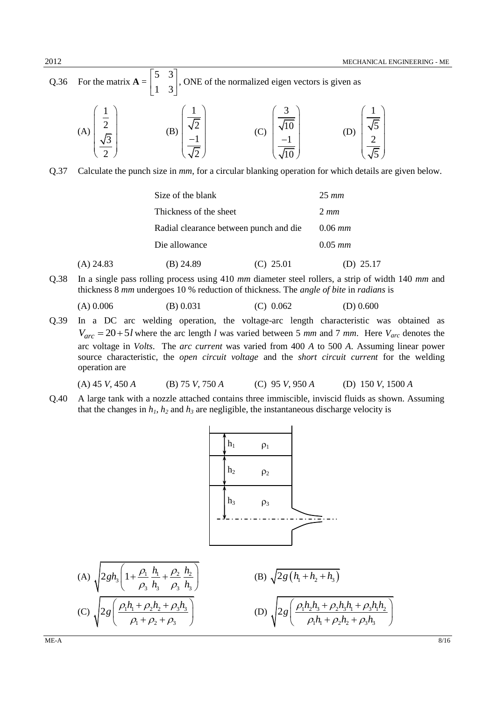Q.36 For the matrix  $\mathbf{A} =$ 5 3 1 3  $\begin{vmatrix} 5 & 3 \end{vmatrix}$  $\begin{bmatrix} 1 & 3 \end{bmatrix}$ , ONE of the normalized eigen vectors is given as  $(A)$ 1 2 3 2  $\left(\begin{array}{c}1\\7\end{array}\right)$  $\frac{2}{\pi}$  $\left(\frac{\sqrt{3}}{2}\right)$ (B) 1 2 1 2  $\left(\frac{1}{\sqrt{2}}\right)$  $\vert \ ^{\vee\angle} \ \vert$  $\vert -1 \vert$  $\left(\overline{\sqrt{2}}\right)$ (C) 3  $^{\prime}10$ 1  $^{\prime}10$  $\left(\frac{3}{\sqrt{10}}\right)$  $\vert$   $\lambda_{10}$   $\vert$  $|-1|$  $\left(\overline{\sqrt{10}}\right)$ (D) 1 5 2 5  $\left(\frac{1}{\sqrt{5}}\right)$  $\vert$   $\lambda$ <sup>2</sup>  $\vert$   $\left(\overline{\sqrt{5}}\right)$ 

Q.37 Calculate the punch size in *mm*, for a circular blanking operation for which details are given below.

|             | Size of the blank |                                        |              |  |
|-------------|-------------------|----------------------------------------|--------------|--|
|             |                   | Thickness of the sheet                 |              |  |
|             |                   | Radial clearance between punch and die |              |  |
|             | Die allowance     |                                        | $0.05 \; mm$ |  |
| $(A)$ 24.83 | (B) 24.89         | $(C)$ 25.01                            | (D) 25.17    |  |

Q.38 In a single pass rolling process using 410 *mm* diameter steel rollers, a strip of width 140 *mm* and thickness 8 *mm* undergoes 10 % reduction of thickness. The *angle of bite* in *radians* is

$$
(A) 0.006 \t\t (B) 0.031 \t\t (C) 0.062 \t\t (D) 0.600
$$

Q.39 In a DC arc welding operation, the voltage-arc length characteristic was obtained as  $V_{arc} = 20 + 5l$  where the arc length *l* was varied between 5 *mm* and 7 *mm*. Here  $V_{arc}$  denotes the arc voltage in *Volts*. The *arc current* was varied from 400 *A* to 500 *A*. Assuming linear power source characteristic, the *open circuit voltage* and the *short circuit current* for the welding operation are

(A) 45 *V*, 450 *A* (B) 75 *V*, 750 *A* (C) 95 *V*, 950 *A* (D) 150 *V*, 1500 *A*

Q.40 A large tank with a nozzle attached contains three immiscible, inviscid fluids as shown. Assuming that the changes in  $h_1$ ,  $h_2$  and  $h_3$  are negligible, the instantaneous discharge velocity is



(A) 
$$
\sqrt{2gh_3 \left(1 + \frac{\rho_1}{\rho_3} \frac{h_1}{h_3} + \frac{\rho_2}{\rho_3} \frac{h_2}{h_3}\right)}
$$
  
\n(B)  $\sqrt{2g \left(h_1 + h_2 + h_3\right)}$   
\n(C)  $\sqrt{2g \left(\frac{\rho_1 h_1 + \rho_2 h_2 + \rho_3 h_3}{\rho_1 + \rho_2 + \rho_3}\right)}$   
\n(D)  $\sqrt{2g \left(\frac{\rho_1 h_2 h_3 + \rho_2 h_3 h_1 + \rho_3 h_1 h_2}{\rho_1 h_1 + \rho_2 h_2 + \rho_3 h_3}\right)}$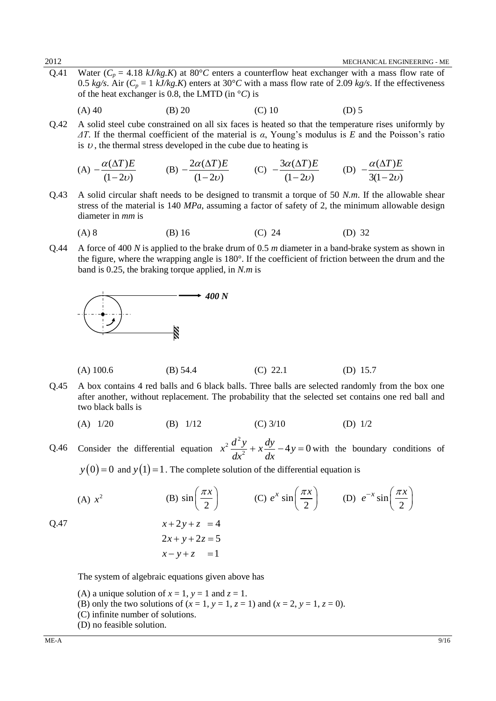Q.41 Water ( $C_p = 4.18 \text{ kJ/kg}$ , K) at 80°*C* enters a counterflow heat exchanger with a mass flow rate of 0.5 *kg/s*. Air ( $C_p = 1$  *kJ/kg.K*) enters at 30°*C* with a mass flow rate of 2.09 *kg/s*. If the effectiveness of the heat exchanger is 0.8, the LMTD (in °*C*) is

(A) 40 (B) 20 (C) 10 (D) 5

Q.42 A solid steel cube constrained on all six faces is heated so that the temperature rises uniformly by *ΔT*. If the thermal coefficient of the material is *α*, Young's modulus is *E* and the Poisson's ratio is  $v$ , the thermal stress developed in the cube due to heating is

(A) 
$$
-\frac{\alpha(\Delta T)E}{(1-2\nu)}
$$
 (B)  $-\frac{2\alpha(\Delta T)E}{(1-2\nu)}$  (C)  $-\frac{3\alpha(\Delta T)E}{(1-2\nu)}$  (D)  $-\frac{\alpha(\Delta T)E}{3(1-2\nu)}$ 

Q.43 A solid circular shaft needs to be designed to transmit a torque of 50 *N.m*. If the allowable shear stress of the material is 140 *MPa*, assuming a factor of safety of 2, the minimum allowable design diameter in *mm* is

(A) 8 (B) 16 (C) 24 (D) 32

Q.44 A force of 400 *N* is applied to the brake drum of 0.5 *m* diameter in a band-brake system as shown in the figure, where the wrapping angle is 180°. If the coefficient of friction between the drum and the band is 0.25, the braking torque applied, in *N.m* is



(A) 100.6 (B) 54.4 (C) 22.1 (D) 15.7

- Q.45 A box contains 4 red balls and 6 black balls. Three balls are selected randomly from the box one after another, without replacement. The probability that the selected set contains one red ball and two black balls is
	- (A) 1/20 (B) 1/12 (C) 3/10 (D) 1/2

Q.46 Consider the differential equation  $\frac{1}{2}d^2$  $x^2 \frac{d^2y}{dx^2} + x \frac{dy}{dx} - 4y = 0$  $\frac{1}{dx^2} + x \frac{1}{dx}$  $x + x\frac{dy}{dx} - 4y = 0$  with the boundary conditions of

 $y(0) = 0$  and  $y(1) = 1$ . The complete solution of the differential equation is

(A) 
$$
x^2
$$
  
\n(B)  $\sin\left(\frac{\pi x}{2}\right)$   
\n(C)  $e^x \sin\left(\frac{\pi x}{2}\right)$   
\n(D)  $e^{-x} \sin\left(\frac{\pi x}{2}\right)$   
\nQ.47  
\n $x+2y+z = 4$   
\n $2x+y+2z = 5$   
\n $x-y+z = 1$ 

The system of algebraic equations given above has

- (A) a unique solution of  $x = 1$ ,  $y = 1$  and  $z = 1$ .
- (B) only the two solutions of  $(x = 1, y = 1, z = 1)$  and  $(x = 2, y = 1, z = 0)$ .
- (C) infinite number of solutions.
- (D) no feasible solution.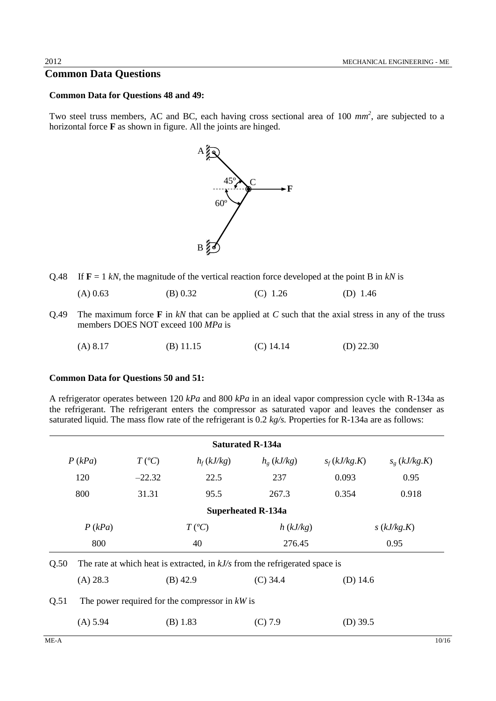### **Common Data Questions**

#### **Common Data for Questions 48 and 49:**

Two steel truss members, AC and BC, each having cross sectional area of 100  $mm<sup>2</sup>$ , are subjected to a horizontal force **F** as shown in figure. All the joints are hinged.



Q.48 If  $\mathbf{F} = 1 \ kN$ , the magnitude of the vertical reaction force developed at the point B in  $kN$  is

| $(A)$ 0.63<br>(B) 0.32<br>$(C)$ 1.26 | (D) $1.46$ |
|--------------------------------------|------------|
|--------------------------------------|------------|

Q.49 The maximum force **F** in *kN* that can be applied at *C* such that the axial stress in any of the truss members DOES NOT exceed 100 *MPa* is

| $(A)$ 8.17 | $(B)$ 11.15 | $(C)$ 14.14 | (D) $22.30$ |
|------------|-------------|-------------|-------------|
|            |             |             |             |

#### **Common Data for Questions 50 and 51:**

A refrigerator operates between 120 *kPa* and 800 *kPa* in an ideal vapor compression cycle with R-134a as the refrigerant. The refrigerant enters the compressor as saturated vapor and leaves the condenser as saturated liquid. The mass flow rate of the refrigerant is 0.2 *kg/s.* Properties for R-134a are as follows:

|      |          |                  |                                                  | <b>Saturated R-134a</b>                                                       |                |                |
|------|----------|------------------|--------------------------------------------------|-------------------------------------------------------------------------------|----------------|----------------|
|      | P(kPa)   | $T({}^{\circ}C)$ | $h_f(kJ/kg)$                                     | $h_{g}$ (kJ/kg)                                                               | $s_f(kJ/kg.K)$ | $s_g(kJ/kg.K)$ |
|      | 120      | $-22.32$         | 22.5                                             | 237                                                                           | 0.093          | 0.95           |
|      | 800      | 31.31            | 95.5                                             | 267.3                                                                         | 0.354          | 0.918          |
|      |          |                  |                                                  | <b>Superheated R-134a</b>                                                     |                |                |
|      | P(kPa)   |                  | $T({}^{\circ}C)$                                 | h(kJ/kg)                                                                      |                | s(kJ/kg.K)     |
|      | 800      |                  | 40                                               | 276.45                                                                        |                | 0.95           |
| Q.50 |          |                  |                                                  | The rate at which heat is extracted, in $kJ/s$ from the refrigerated space is |                |                |
|      | (A) 28.3 |                  | $(B)$ 42.9                                       | $(C)$ 34.4                                                                    | (D) $14.6$     |                |
| Q.51 |          |                  | The power required for the compressor in $kW$ is |                                                                               |                |                |
|      | (A) 5.94 |                  | (B) 1.83                                         | (C) 7.9                                                                       | $(D)$ 39.5     |                |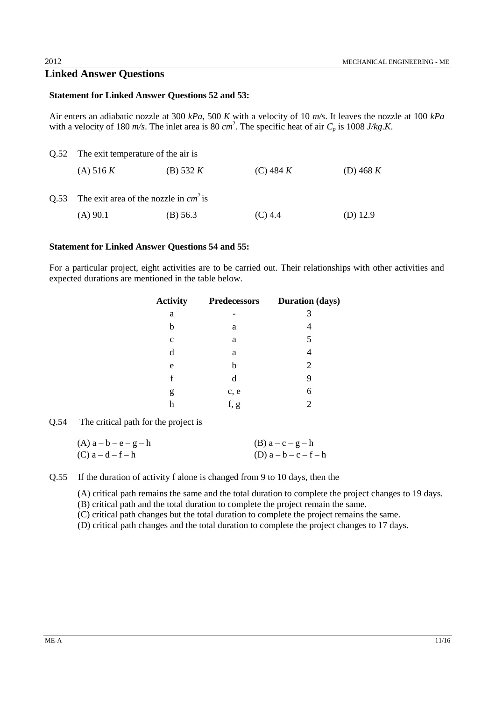### **Linked Answer Questions**

#### **Statement for Linked Answer Questions 52 and 53:**

Air enters an adiabatic nozzle at 300 *kPa*, 500 *K* with a velocity of 10 *m/s*. It leaves the nozzle at 100 *kPa* with a velocity of 180  $m/s$ . The inlet area is 80  $cm<sup>2</sup>$ . The specific heat of air  $C_p$  is 1008 *J/kg.K.* 

| Q.52 The exit temperature of the air is      |             |             |             |  |  |  |
|----------------------------------------------|-------------|-------------|-------------|--|--|--|
| (A) 516 K                                    | (B) 532 $K$ | (C) 484 $K$ | (D) 468 $K$ |  |  |  |
| Q.53 The exit area of the nozzle in $cm2$ is |             |             |             |  |  |  |
| $(A)$ 90.1                                   | $(B)$ 56.3  | $(C)$ 4.4   | (D) 12.9    |  |  |  |

#### **Statement for Linked Answer Questions 54 and 55:**

For a particular project, eight activities are to be carried out. Their relationships with other activities and expected durations are mentioned in the table below.

| <b>Activity</b> | Predecessors | <b>Duration</b> (days) |
|-----------------|--------------|------------------------|
| a               |              | 3                      |
| b               | a            | 4                      |
| $\mathbf{C}$    | a            | 5                      |
| d               | a            | 4                      |
| e               | b            | $\overline{2}$         |
| f               | d            | 9                      |
| g               | c, e         | 6                      |
| h               | f, g         | 2                      |
|                 |              |                        |

Q.54 The critical path for the project is

| $(A)$ a - b - e - g - h | $(B)$ a – c – g – h     |
|-------------------------|-------------------------|
| $(C)$ a – d – f – h     | (D) $a - b - c - f - h$ |

Q.55 If the duration of activity f alone is changed from 9 to 10 days, then the

(A) critical path remains the same and the total duration to complete the project changes to 19 days.

(B) critical path and the total duration to complete the project remain the same.

(C) critical path changes but the total duration to complete the project remains the same.

(D) critical path changes and the total duration to complete the project changes to 17 days.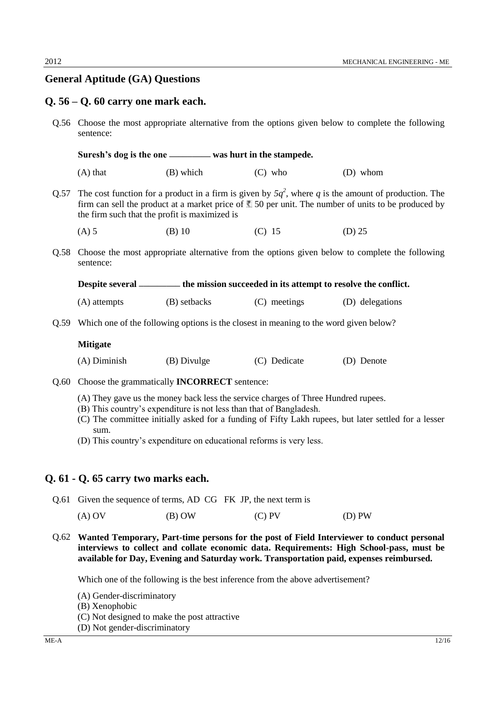## **General Aptitude (GA) Questions**

#### **Q. 56 – Q. 60 carry one mark each.**

Q.56 Choose the most appropriate alternative from the options given below to complete the following sentence:

Suresh's dog is the one \_\_\_\_\_\_\_\_ was hurt in the stampede.

 $(A)$  that  $(B)$  which  $(C)$  who  $(D)$  whom

Q.57 The cost function for a product in a firm is given by  $5q^2$ , where q is the amount of production. The firm can sell the product at a market price of  $\blacksquare$  50 per unit. The number of units to be produced by the firm such that the profit is maximized is

(A) 5 (B) 10 (C) 15 (D) 25

Q.58 Choose the most appropriate alternative from the options given below to complete the following sentence:

**Despite several ––––––––– the mission succeeded in its attempt to resolve the conflict.**

(A) attempts (B) setbacks (C) meetings (D) delegations

Q.59 Which one of the following options is the closest in meaning to the word given below?

#### **Mitigate**

(A) Diminish (B) Divulge (C) Dedicate (D) Denote

- Q.60 Choose the grammatically **INCORRECT** sentence:
	- (A) They gave us the money back less the service charges of Three Hundred rupees.
	- (B) This country's expenditure is not less than that of Bangladesh.
	- (C) The committee initially asked for a funding of Fifty Lakh rupees, but later settled for a lesser sum.
	- (D) This country's expenditure on educational reforms is very less.

#### **Q. 61 - Q. 65 carry two marks each.**

Q.61 Given the sequence of terms, AD CG FK JP, the next term is

(A) OV (B) OW (C) PV (D) PW

Q.62 **Wanted Temporary, Part-time persons for the post of Field Interviewer to conduct personal interviews to collect and collate economic data. Requirements: High School-pass, must be available for Day, Evening and Saturday work. Transportation paid, expenses reimbursed.** 

Which one of the following is the best inference from the above advertisement?

- (A) Gender-discriminatory
- (B) Xenophobic
- (C) Not designed to make the post attractive
- (D) Not gender-discriminatory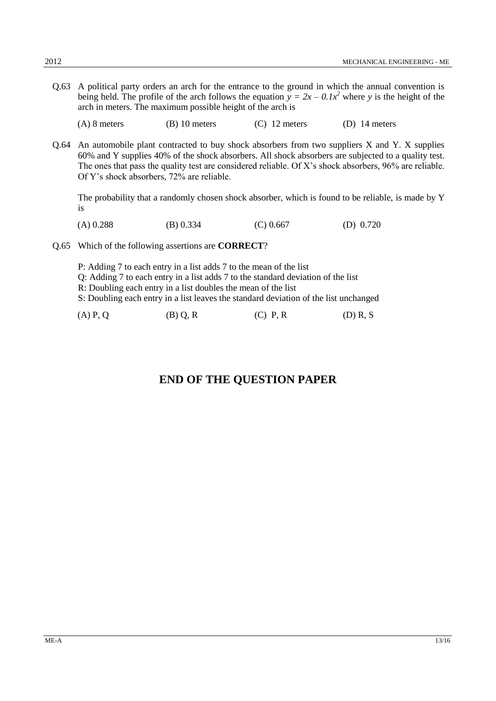Q.63 A political party orders an arch for the entrance to the ground in which the annual convention is being held. The profile of the arch follows the equation  $y = 2x - 0.1x^2$  where *y* is the height of the arch in meters. The maximum possible height of the arch is

(A) 8 meters (B) 10 meters (C) 12 meters (D) 14 meters

Q.64 An automobile plant contracted to buy shock absorbers from two suppliers X and Y. X supplies 60% and Y supplies 40% of the shock absorbers. All shock absorbers are subjected to a quality test. The ones that pass the quality test are considered reliable. Of X's shock absorbers, 96% are reliable. Of Y's shock absorbers, 72% are reliable.

The probability that a randomly chosen shock absorber, which is found to be reliable, is made by Y is

(A) 0.288 (B) 0.334 (C) 0.667 (D) 0.720

Q.65 Which of the following assertions are **CORRECT**?

P: Adding 7 to each entry in a list adds 7 to the mean of the list Q: Adding 7 to each entry in a list adds 7 to the standard deviation of the list

- 
- R: Doubling each entry in a list doubles the mean of the list

S: Doubling each entry in a list leaves the standard deviation of the list unchanged

| $(D)$ R, S<br>$(A)$ P, Q<br>(B) Q, R<br>$(C)$ P, R |
|----------------------------------------------------|
|----------------------------------------------------|

## **END OF THE QUESTION PAPER**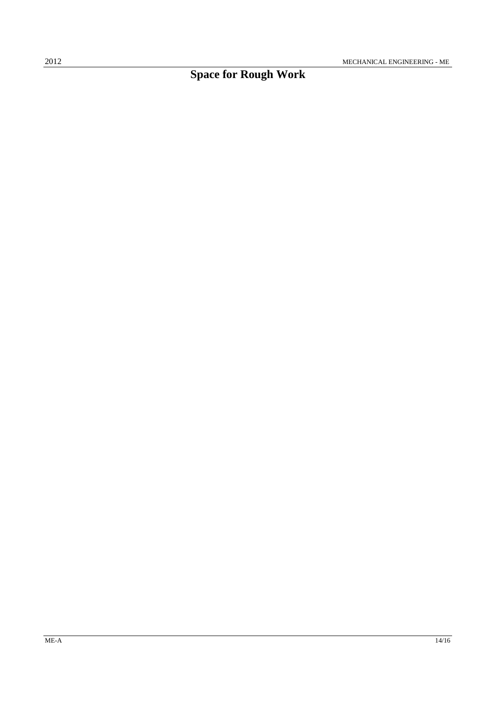# **Space for Rough Work**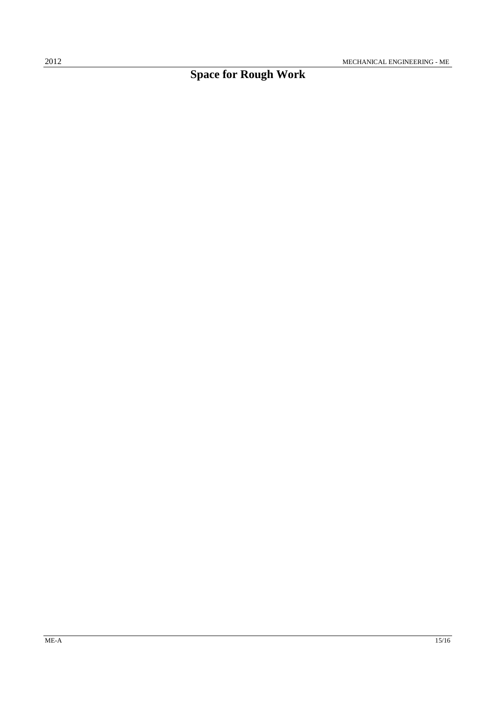# **Space for Rough Work**